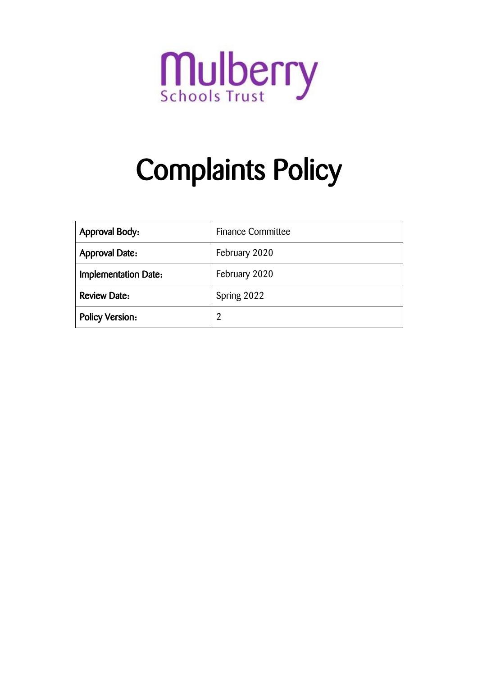

# Complaints Policy

| <b>Approval Body:</b>       | <b>Finance Committee</b> |  |
|-----------------------------|--------------------------|--|
| <b>Approval Date:</b>       | February 2020            |  |
| <b>Implementation Date:</b> | February 2020            |  |
| <b>Review Date:</b>         | Spring 2022              |  |
| <b>Policy Version:</b>      |                          |  |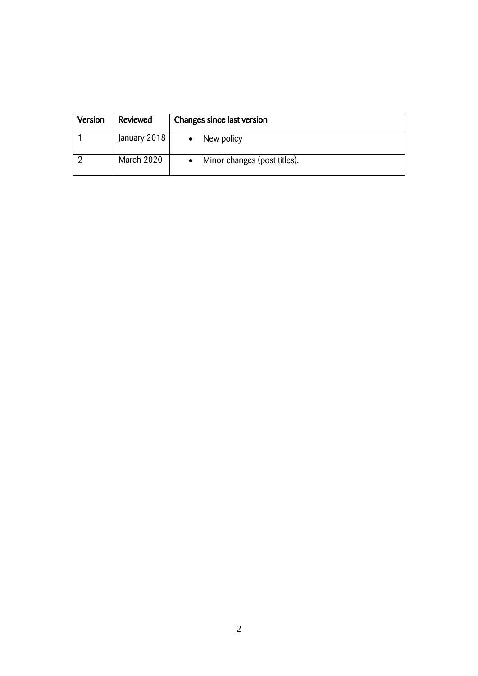| Version | Reviewed     | Changes since last version   |
|---------|--------------|------------------------------|
|         | January 2018 | New policy                   |
|         | March 2020   | Minor changes (post titles). |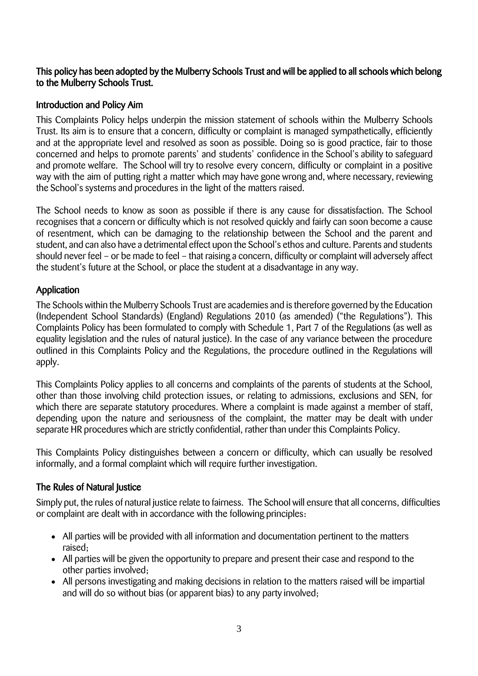## This policy has been adopted by the Mulberry Schools Trust and will be applied to all schools which belong to the Mulberry Schools Trust.

## Introduction and Policy Aim

This Complaints Policy helps underpin the mission statement of schools within the Mulberry Schools Trust. Its aim is to ensure that a concern, difficulty or complaint is managed sympathetically, efficiently and at the appropriate level and resolved as soon as possible. Doing so is good practice, fair to those concerned and helps to promote parents' and students' confidence in the School's ability to safeguard and promote welfare. The School will try to resolve every concern, difficulty or complaint in a positive way with the aim of putting right a matter which may have gone wrong and, where necessary, reviewing the School's systems and procedures in the light of the matters raised.

The School needs to know as soon as possible if there is any cause for dissatisfaction. The School recognises that a concern or difficulty which is not resolved quickly and fairly can soon become a cause of resentment, which can be damaging to the relationship between the School and the parent and student, and can also have a detrimental effect upon the School's ethos and culture. Parents and students should never feel – or be made to feel – that raising a concern, difficulty or complaint will adversely affect the student's future at the School, or place the student at a disadvantage in any way.

## Application

The Schools within the Mulberry Schools Trust are academies and is therefore governed by the Education (Independent School Standards) (England) Regulations 2010 (as amended) ("the Regulations"). This Complaints Policy has been formulated to comply with Schedule 1, Part 7 of the Regulations (as well as equality legislation and the rules of natural justice). In the case of any variance between the procedure outlined in this Complaints Policy and the Regulations, the procedure outlined in the Regulations will apply.

This Complaints Policy applies to all concerns and complaints of the parents of students at the School, other than those involving child protection issues, or relating to admissions, exclusions and SEN, for which there are separate statutory procedures. Where a complaint is made against a member of staff, depending upon the nature and seriousness of the complaint, the matter may be dealt with under separate HR procedures which are strictly confidential, rather than under this Complaints Policy.

This Complaints Policy distinguishes between a concern or difficulty, which can usually be resolved informally, and a formal complaint which will require further investigation.

## The Rules of Natural Justice

Simply put, the rules of natural justice relate to fairness. The School will ensure that all concerns, difficulties or complaint are dealt with in accordance with the following principles:

- All parties will be provided with all information and documentation pertinent to the matters raised;
- All parties will be given the opportunity to prepare and present their case and respond to the other parties involved;
- All persons investigating and making decisions in relation to the matters raised will be impartial and will do so without bias (or apparent bias) to any party involved;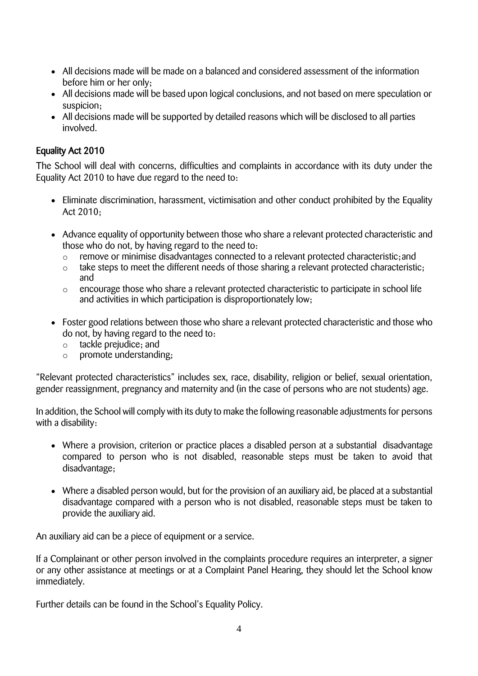- All decisions made will be made on a balanced and considered assessment of the information before him or her only;
- All decisions made will be based upon logical conclusions, and not based on mere speculation or suspicion;
- All decisions made will be supported by detailed reasons which will be disclosed to all parties involved.

## Equality Act 2010

The School will deal with concerns, difficulties and complaints in accordance with its duty under the Equality Act 2010 to have due regard to the need to:

- Eliminate discrimination, harassment, victimisation and other conduct prohibited by the Equality Act 2010;
- Advance equality of opportunity between those who share a relevant protected characteristic and those who do not, by having regard to the need to:
	- remove or minimise disadvantages connected to a relevant protected characteristic; and
	- o take steps to meet the different needs of those sharing a relevant protected characteristic; and
	- o encourage those who share a relevant protected characteristic to participate in school life and activities in which participation is disproportionately low;
- Foster good relations between those who share a relevant protected characteristic and those who do not, by having regard to the need to:
	- o tackle prejudice; and
	- o promote understanding;

"Relevant protected characteristics" includes sex, race, disability, religion or belief, sexual orientation, gender reassignment, pregnancy and maternity and (in the case of persons who are not students) age.

In addition, the School will comply with its duty to make the following reasonable adjustments for persons with a disability:

- Where a provision, criterion or practice places a disabled person at a substantial disadvantage compared to person who is not disabled, reasonable steps must be taken to avoid that disadvantage;
- Where a disabled person would, but for the provision of an auxiliary aid, be placed at a substantial disadvantage compared with a person who is not disabled, reasonable steps must be taken to provide the auxiliary aid.

An auxiliary aid can be a piece of equipment or a service.

If a Complainant or other person involved in the complaints procedure requires an interpreter, a signer or any other assistance at meetings or at a Complaint Panel Hearing, they should let the School know immediately.

Further details can be found in the School's Equality Policy.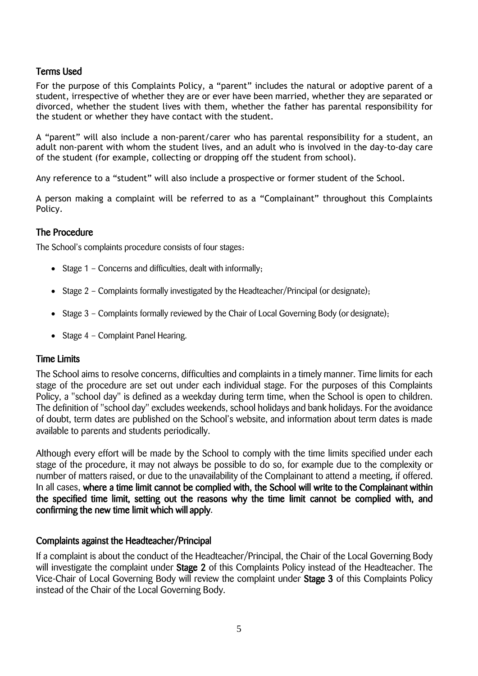## Terms Used

For the purpose of this Complaints Policy, a "parent" includes the natural or adoptive parent of a student, irrespective of whether they are or ever have been married, whether they are separated or divorced, whether the student lives with them, whether the father has parental responsibility for the student or whether they have contact with the student.

A "parent" will also include a non-parent/carer who has parental responsibility for a student, an adult non-parent with whom the student lives, and an adult who is involved in the day-to-day care of the student (for example, collecting or dropping off the student from school).

Any reference to a "student" will also include a prospective or former student of the School.

A person making a complaint will be referred to as a "Complainant" throughout this Complaints Policy.

## The Procedure

The School's complaints procedure consists of four stages:

- Stage 1 Concerns and difficulties, dealt with informally;
- Stage 2 Complaints formally investigated by the Headteacher/Principal (or designate);
- $\bullet$  Stage 3 Complaints formally reviewed by the Chair of Local Governing Body (or designate);
- Stage 4 Complaint Panel Hearing.

### Time Limits

The School aims to resolve concerns, difficulties and complaints in a timely manner. Time limits for each stage of the procedure are set out under each individual stage. For the purposes of this Complaints Policy, a "school day" is defined as a weekday during term time, when the School is open to children. The definition of "school day" excludes weekends, school holidays and bank holidays. For the avoidance of doubt, term dates are published on the School's website, and information about term dates is made available to parents and students periodically.

Although every effort will be made by the School to comply with the time limits specified under each stage of the procedure, it may not always be possible to do so, for example due to the complexity or number of matters raised, or due to the unavailability of the Complainant to attend a meeting, if offered. In all cases, where a time limit cannot be complied with, the School will write to the Complainant within the specified time limit, setting out the reasons why the time limit cannot be complied with, and confirming the new time limit which will apply.

### Complaints against the Headteacher/Principal

If a complaint is about the conduct of the Headteacher/Principal, the Chair of the Local Governing Body will investigate the complaint under Stage 2 of this Complaints Policy instead of the Headteacher. The Vice-Chair of Local Governing Body will review the complaint under Stage 3 of this Complaints Policy instead of the Chair of the Local Governing Body.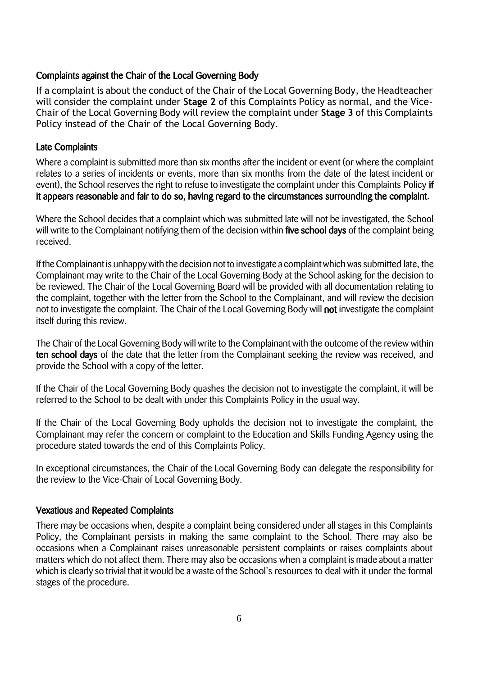## Complaints against the Chair of the Local Governing Body

If a complaint is about the conduct of the Chair of the Local Governing Body, the Headteacher will consider the complaint under **Stage 2** of this Complaints Policy as normal, and the Vice-Chair of the Local Governing Body will review the complaint under **Stage 3** of this Complaints Policy instead of the Chair of the Local Governing Body.

## Late Complaints

Where a complaint is submitted more than six months after the incident or event (or where the complaint relates to a series of incidents or events, more than six months from the date of the latest incident or event), the School reserves the right to refuse to investigate the complaint under this Complaints Policy if it appears reasonable and fair to do so, having regard to the circumstances surrounding the complaint.

Where the School decides that a complaint which was submitted late will not be investigated, the School will write to the Complainant notifying them of the decision within five school days of the complaint being received.

If the Complainant is unhappy with the decision not to investigate a complaint which was submitted late, the Complainant may write to the Chair of the Local Governing Body at the School asking for the decision to be reviewed. The Chair of the Local Governing Board will be provided with all documentation relating to the complaint, together with the letter from the School to the Complainant, and will review the decision not to investigate the complaint. The Chair of the Local Governing Body will not investigate the complaint itself during this review.

The Chair of the Local Governing Body will write to the Complainant with the outcome of the review within ten school days of the date that the letter from the Complainant seeking the review was received, and provide the School with a copy of the letter.

If the Chair of the Local Governing Body quashes the decision not to investigate the complaint, it will be referred to the School to be dealt with under this Complaints Policy in the usual way.

If the Chair of the Local Governing Body upholds the decision not to investigate the complaint, the Complainant may refer the concern or complaint to the Education and Skills Funding Agency using the procedure stated towards the end of this Complaints Policy.

In exceptional circumstances, the Chair of the Local Governing Body can delegate the responsibility for the review to the Vice-Chair of Local Governing Body.

### Vexatious and Repeated Complaints

There may be occasions when, despite a complaint being considered under all stages in this Complaints Policy, the Complainant persists in making the same complaint to the School. There may also be occasions when a Complainant raises unreasonable persistent complaints or raises complaints about matters which do not affect them. There may also be occasions when a complaint is made about a matter which is clearly so trivial that it would be a waste of the School's resources to deal with it under the formal stages of the procedure.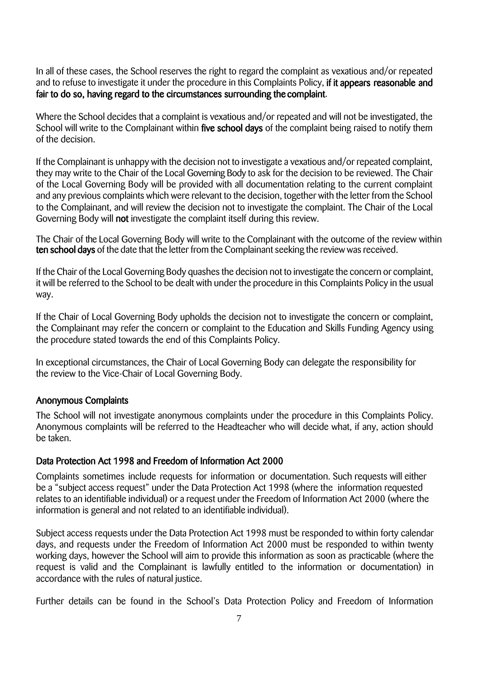In all of these cases, the School reserves the right to regard the complaint as vexatious and/or repeated and to refuse to investigate it under the procedure in this Complaints Policy, if it appears reasonable and fair to do so, having regard to the circumstances surrounding the complaint.

Where the School decides that a complaint is vexatious and/or repeated and will not be investigated, the School will write to the Complainant within five school days of the complaint being raised to notify them of the decision.

If the Complainant is unhappy with the decision not to investigate a vexatious and/or repeated complaint, they may write to the Chair of the Local Governing Body to ask for the decision to be reviewed. The Chair of the Local Governing Body will be provided with all documentation relating to the current complaint and any previous complaints which were relevant to the decision, together with the letter from the School to the Complainant, and will review the decision not to investigate the complaint. The Chair of the Local Governing Body will not investigate the complaint itself during this review.

The Chair of the Local Governing Body will write to the Complainant with the outcome of the review within ten school days of the date that the letter from the Complainant seeking the review was received.

If the Chair of the Local Governing Body quashes the decision not to investigate the concern or complaint, it will be referred to the School to be dealt with under the procedure in this Complaints Policy in the usual way.

If the Chair of Local Governing Body upholds the decision not to investigate the concern or complaint, the Complainant may refer the concern or complaint to the Education and Skills Funding Agency using the procedure stated towards the end of this Complaints Policy.

In exceptional circumstances, the Chair of Local Governing Body can delegate the responsibility for the review to the Vice-Chair of Local Governing Body.

### Anonymous Complaints

The School will not investigate anonymous complaints under the procedure in this Complaints Policy. Anonymous complaints will be referred to the Headteacher who will decide what, if any, action should be taken.

#### Data Protection Act 1998 and Freedom of Information Act 2000

Complaints sometimes include requests for information or documentation. Such requests will either be a "subject access request" under the Data Protection Act 1998 (where the information requested relates to an identifiable individual) or a request under the Freedom of Information Act 2000 (where the information is general and not related to an identifiable individual).

Subject access requests under the Data Protection Act 1998 must be responded to within forty calendar days, and requests under the Freedom of Information Act 2000 must be responded to within twenty working days, however the School will aim to provide this information as soon as practicable (where the request is valid and the Complainant is lawfully entitled to the information or documentation) in accordance with the rules of natural justice.

Further details can be found in the School's Data Protection Policy and Freedom of Information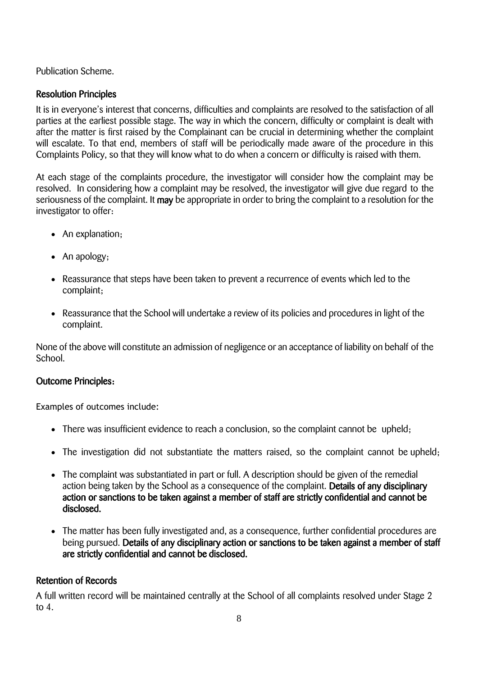Publication Scheme.

## Resolution Principles

It is in everyone's interest that concerns, difficulties and complaints are resolved to the satisfaction of all parties at the earliest possible stage. The way in which the concern, difficulty or complaint is dealt with after the matter is first raised by the Complainant can be crucial in determining whether the complaint will escalate. To that end, members of staff will be periodically made aware of the procedure in this Complaints Policy, so that they will know what to do when a concern or difficulty is raised with them.

At each stage of the complaints procedure, the investigator will consider how the complaint may be resolved. In considering how a complaint may be resolved, the investigator will give due regard to the seriousness of the complaint. It may be appropriate in order to bring the complaint to a resolution for the investigator to offer:

- An explanation;
- An apology;
- Reassurance that steps have been taken to prevent a recurrence of events which led to the complaint;
- Reassurance that the School will undertake a review of its policies and procedures in light of the complaint.

None of the above will constitute an admission of negligence or an acceptance of liability on behalf of the School.

## Outcome Principles:

Examples of outcomes include:

- There was insufficient evidence to reach a conclusion, so the complaint cannot be upheld;
- The investigation did not substantiate the matters raised, so the complaint cannot be upheld;
- The complaint was substantiated in part or full. A description should be given of the remedial action being taken by the School as a consequence of the complaint. Details of any disciplinary action or sanctions to be taken against a member of staff are strictly confidential and cannot be disclosed.
- The matter has been fully investigated and, as a consequence, further confidential procedures are being pursued. Details of any disciplinary action or sanctions to be taken against a member of staff are strictly confidential and cannot be disclosed.

## Retention of Records

A full written record will be maintained centrally at the School of all complaints resolved under Stage 2 to 4.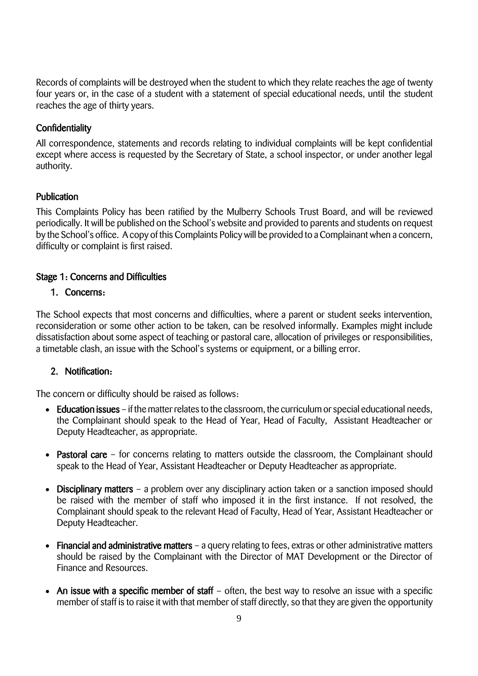Records of complaints will be destroyed when the student to which they relate reaches the age of twenty four years or, in the case of a student with a statement of special educational needs, until the student reaches the age of thirty years.

## **Confidentiality**

All correspondence, statements and records relating to individual complaints will be kept confidential except where access is requested by the Secretary of State, a school inspector, or under another legal authority.

### **Publication**

This Complaints Policy has been ratified by the Mulberry Schools Trust Board, and will be reviewed periodically. It will be published on the School's website and provided to parents and students on request by the School's office. A copy of this Complaints Policy will be provided to a Complainant when a concern, difficulty or complaint is first raised.

## Stage 1: Concerns and Difficulties

## 1. Concerns:

The School expects that most concerns and difficulties, where a parent or student seeks intervention, reconsideration or some other action to be taken, can be resolved informally. Examples might include dissatisfaction about some aspect of teaching or pastoral care, allocation of privileges or responsibilities, a timetable clash, an issue with the School's systems or equipment, or a billing error.

## 2. Notification:

The concern or difficulty should be raised as follows:

- Education issues if the matter relates to the classroom, the curriculum or special educational needs, the Complainant should speak to the Head of Year, Head of Faculty, Assistant Headteacher or Deputy Headteacher, as appropriate.
- Pastoral care for concerns relating to matters outside the classroom, the Complainant should speak to the Head of Year, Assistant Headteacher or Deputy Headteacher as appropriate.
- Disciplinary matters a problem over any disciplinary action taken or a sanction imposed should be raised with the member of staff who imposed it in the first instance. If not resolved, the Complainant should speak to the relevant Head of Faculty, Head of Year, Assistant Headteacher or Deputy Headteacher.
- Financial and administrative matters a query relating to fees, extras or other administrative matters should be raised by the Complainant with the Director of MAT Development or the Director of Finance and Resources.
- An issue with a specific member of staff often, the best way to resolve an issue with a specific member of staff is to raise it with that member of staff directly, so that they are given the opportunity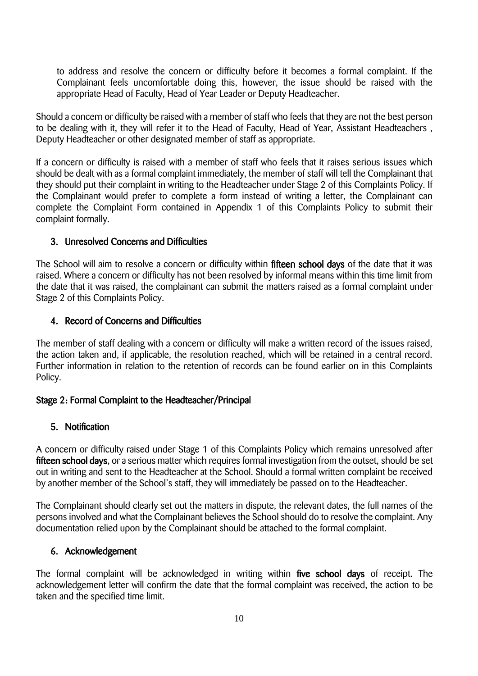to address and resolve the concern or difficulty before it becomes a formal complaint. If the Complainant feels uncomfortable doing this, however, the issue should be raised with the appropriate Head of Faculty, Head of Year Leader or Deputy Headteacher.

Should a concern or difficulty be raised with a member of staff who feels that they are not the best person to be dealing with it, they will refer it to the Head of Faculty, Head of Year, Assistant Headteachers , Deputy Headteacher or other designated member of staff as appropriate.

If a concern or difficulty is raised with a member of staff who feels that it raises serious issues which should be dealt with as a formal complaint immediately, the member of staff will tell the Complainant that they should put their complaint in writing to the Headteacher under Stage 2 of this Complaints Policy. If the Complainant would prefer to complete a form instead of writing a letter, the Complainant can complete the Complaint Form contained in Appendix 1 of this Complaints Policy to submit their complaint formally.

## 3. Unresolved Concerns and Difficulties

The School will aim to resolve a concern or difficulty within fifteen school days of the date that it was raised. Where a concern or difficulty has not been resolved by informal means within this time limit from the date that it was raised, the complainant can submit the matters raised as a formal complaint under Stage 2 of this Complaints Policy.

## 4. Record of Concerns and Difficulties

The member of staff dealing with a concern or difficulty will make a written record of the issues raised, the action taken and, if applicable, the resolution reached, which will be retained in a central record. Further information in relation to the retention of records can be found earlier on in this Complaints Policy.

## Stage 2: Formal Complaint to the Headteacher/Principal

## 5. Notification

A concern or difficulty raised under Stage 1 of this Complaints Policy which remains unresolved after fifteen school days, or a serious matter which requires formal investigation from the outset, should be set out in writing and sent to the Headteacher at the School. Should a formal written complaint be received by another member of the School's staff, they will immediately be passed on to the Headteacher.

The Complainant should clearly set out the matters in dispute, the relevant dates, the full names of the persons involved and what the Complainant believes the School should do to resolve the complaint. Any documentation relied upon by the Complainant should be attached to the formal complaint.

## 6. Acknowledgement

The formal complaint will be acknowledged in writing within five school days of receipt. The acknowledgement letter will confirm the date that the formal complaint was received, the action to be taken and the specified time limit.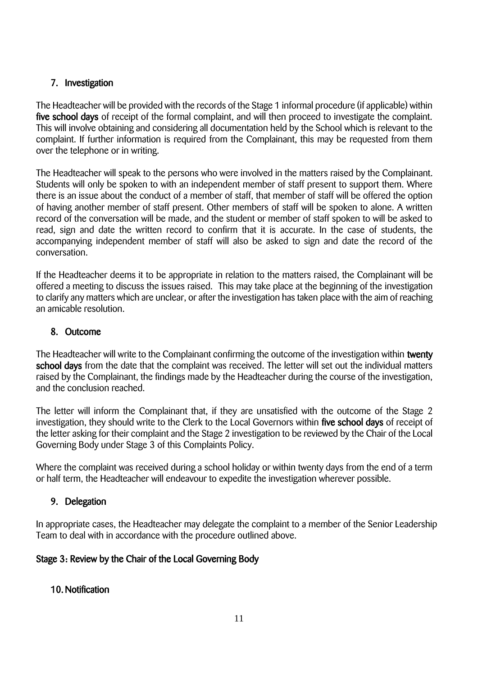## 7. Investigation

The Headteacher will be provided with the records of the Stage 1 informal procedure (if applicable) within five school days of receipt of the formal complaint, and will then proceed to investigate the complaint. This will involve obtaining and considering all documentation held by the School which is relevant to the complaint. If further information is required from the Complainant, this may be requested from them over the telephone or in writing.

The Headteacher will speak to the persons who were involved in the matters raised by the Complainant. Students will only be spoken to with an independent member of staff present to support them. Where there is an issue about the conduct of a member of staff, that member of staff will be offered the option of having another member of staff present. Other members of staff will be spoken to alone. A written record of the conversation will be made, and the student or member of staff spoken to will be asked to read, sign and date the written record to confirm that it is accurate. In the case of students, the accompanying independent member of staff will also be asked to sign and date the record of the conversation.

If the Headteacher deems it to be appropriate in relation to the matters raised, the Complainant will be offered a meeting to discuss the issues raised. This may take place at the beginning of the investigation to clarify any matters which are unclear, or after the investigation has taken place with the aim of reaching an amicable resolution.

## 8. Outcome

The Headteacher will write to the Complainant confirming the outcome of the investigation within twenty school days from the date that the complaint was received. The letter will set out the individual matters raised by the Complainant, the findings made by the Headteacher during the course of the investigation, and the conclusion reached.

The letter will inform the Complainant that, if they are unsatisfied with the outcome of the Stage 2 investigation, they should write to the Clerk to the Local Governors within five school days of receipt of the letter asking for their complaint and the Stage 2 investigation to be reviewed by the Chair of the Local Governing Body under Stage 3 of this Complaints Policy.

Where the complaint was received during a school holiday or within twenty days from the end of a term or half term, the Headteacher will endeavour to expedite the investigation wherever possible.

## 9. Delegation

In appropriate cases, the Headteacher may delegate the complaint to a member of the Senior Leadership Team to deal with in accordance with the procedure outlined above.

## Stage 3: Review by the Chair of the Local Governing Body

## 10.Notification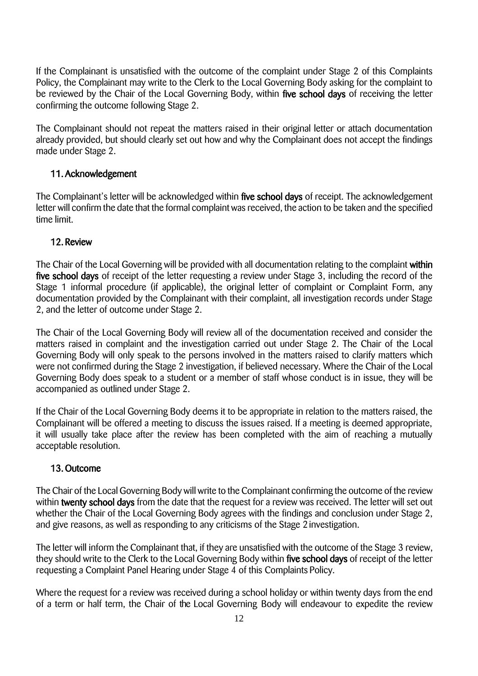If the Complainant is unsatisfied with the outcome of the complaint under Stage 2 of this Complaints Policy, the Complainant may write to the Clerk to the Local Governing Body asking for the complaint to be reviewed by the Chair of the Local Governing Body, within five school days of receiving the letter confirming the outcome following Stage 2.

The Complainant should not repeat the matters raised in their original letter or attach documentation already provided, but should clearly set out how and why the Complainant does not accept the findings made under Stage 2.

## 11. Acknowledgement

The Complainant's letter will be acknowledged within five school days of receipt. The acknowledgement letter will confirm the date that the formal complaint was received, the action to be taken and the specified time limit.

### 12. Review

The Chair of the Local Governing will be provided with all documentation relating to the complaint within five school days of receipt of the letter requesting a review under Stage 3, including the record of the Stage 1 informal procedure (if applicable), the original letter of complaint or Complaint Form, any documentation provided by the Complainant with their complaint, all investigation records under Stage 2, and the letter of outcome under Stage 2.

The Chair of the Local Governing Body will review all of the documentation received and consider the matters raised in complaint and the investigation carried out under Stage 2. The Chair of the Local Governing Body will only speak to the persons involved in the matters raised to clarify matters which were not confirmed during the Stage 2 investigation, if believed necessary. Where the Chair of the Local Governing Body does speak to a student or a member of staff whose conduct is in issue, they will be accompanied as outlined under Stage 2.

If the Chair of the Local Governing Body deems it to be appropriate in relation to the matters raised, the Complainant will be offered a meeting to discuss the issues raised. If a meeting is deemed appropriate, it will usually take place after the review has been completed with the aim of reaching a mutually acceptable resolution.

### 13. Outcome

The Chair of the Local Governing Body will write to the Complainant confirming the outcome of the review within twenty school days from the date that the request for a review was received. The letter will set out whether the Chair of the Local Governing Body agrees with the findings and conclusion under Stage 2, and give reasons, as well as responding to any criticisms of the Stage 2investigation.

The letter will inform the Complainant that, if they are unsatisfied with the outcome of the Stage 3 review, they should write to the Clerk to the Local Governing Body within five school days of receipt of the letter requesting a Complaint Panel Hearing under Stage 4 of this Complaints Policy.

Where the request for a review was received during a school holiday or within twenty days from the end of a term or half term, the Chair of the Local Governing Body will endeavour to expedite the review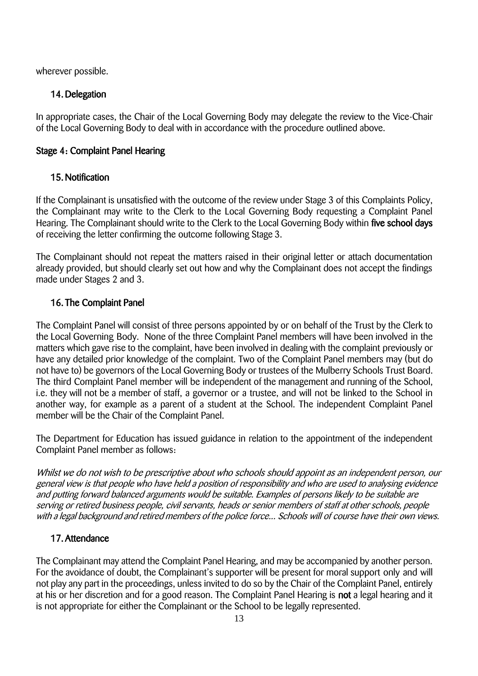wherever possible.

## 14.Delegation

In appropriate cases, the Chair of the Local Governing Body may delegate the review to the Vice-Chair of the Local Governing Body to deal with in accordance with the procedure outlined above.

## Stage 4: Complaint Panel Hearing

## 15.Notification

If the Complainant is unsatisfied with the outcome of the review under Stage 3 of this Complaints Policy, the Complainant may write to the Clerk to the Local Governing Body requesting a Complaint Panel Hearing. The Complainant should write to the Clerk to the Local Governing Body within five school days of receiving the letter confirming the outcome following Stage 3.

The Complainant should not repeat the matters raised in their original letter or attach documentation already provided, but should clearly set out how and why the Complainant does not accept the findings made under Stages 2 and 3.

## 16. The Complaint Panel

The Complaint Panel will consist of three persons appointed by or on behalf of the Trust by the Clerk to the Local Governing Body. None of the three Complaint Panel members will have been involved in the matters which gave rise to the complaint, have been involved in dealing with the complaint previously or have any detailed prior knowledge of the complaint. Two of the Complaint Panel members may (but do not have to) be governors of the Local Governing Body or trustees of the Mulberry Schools Trust Board. The third Complaint Panel member will be independent of the management and running of the School, i.e. they will not be a member of staff, a governor or a trustee, and will not be linked to the School in another way, for example as a parent of a student at the School. The independent Complaint Panel member will be the Chair of the Complaint Panel.

The Department for Education has issued guidance in relation to the appointment of the independent Complaint Panel member as follows:

Whilst we do not wish to be prescriptive about who schools should appoint as an independent person, our general view is that people who have held a position of responsibility and who are used to analysing evidence and putting forward balanced arguments would be suitable. Examples of persons likely to be suitable are serving or retired business people, civil servants, heads or senior members of staff at other schools, people with a legal background and retired members of the police force... Schools will of course have their own views.

## 17. Attendance

The Complainant may attend the Complaint Panel Hearing, and may be accompanied by another person. For the avoidance of doubt, the Complainant's supporter will be present for moral support only and will not play any part in the proceedings, unless invited to do so by the Chair of the Complaint Panel, entirely at his or her discretion and for a good reason. The Complaint Panel Hearing is not a legal hearing and it is not appropriate for either the Complainant or the School to be legally represented.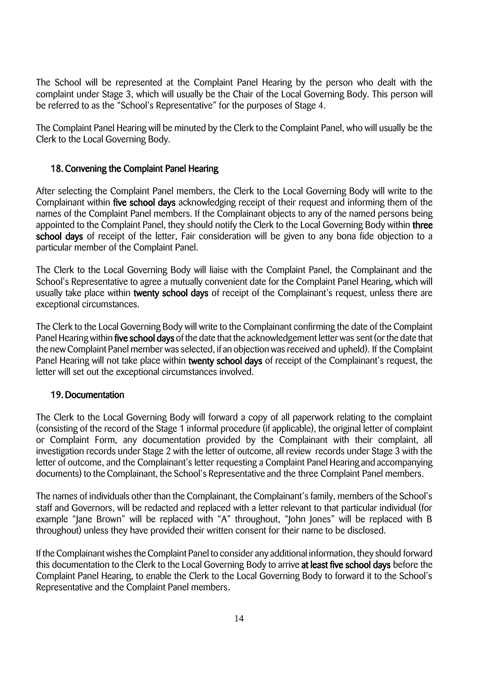The School will be represented at the Complaint Panel Hearing by the person who dealt with the complaint under Stage 3, which will usually be the Chair of the Local Governing Body. This person will be referred to as the "School's Representative" for the purposes of Stage 4.

The Complaint Panel Hearing will be minuted by the Clerk to the Complaint Panel, who will usually be the Clerk to the Local Governing Body.

## 18. Convening the Complaint Panel Hearing

After selecting the Complaint Panel members, the Clerk to the Local Governing Body will write to the Complainant within five school days acknowledging receipt of their request and informing them of the names of the Complaint Panel members. If the Complainant objects to any of the named persons being appointed to the Complaint Panel, they should notify the Clerk to the Local Governing Body within three school days of receipt of the letter. Fair consideration will be given to any bona fide objection to a particular member of the Complaint Panel.

The Clerk to the Local Governing Body will liaise with the Complaint Panel, the Complainant and the School's Representative to agree a mutually convenient date for the Complaint Panel Hearing, which will usually take place within twenty school days of receipt of the Complainant's request, unless there are exceptional circumstances.

The Clerk to the Local Governing Body will write to the Complainant confirming the date of the Complaint Panel Hearing within five school days of the date that the acknowledgement letter was sent (or the date that the new Complaint Panel member was selected, if an objectionwas received and upheld). If the Complaint Panel Hearing will not take place within twenty school days of receipt of the Complainant's request, the letter will set out the exceptional circumstances involved.

### 19.Documentation

The Clerk to the Local Governing Body will forward a copy of all paperwork relating to the complaint (consisting of the record of the Stage 1 informal procedure (if applicable), the original letter of complaint or Complaint Form, any documentation provided by the Complainant with their complaint, all investigation records under Stage 2 with the letter of outcome, all review records under Stage 3 with the letter of outcome, and the Complainant's letter requesting a Complaint Panel Hearing and accompanying documents) to the Complainant, the School's Representative and the three Complaint Panel members.

The names of individuals other than the Complainant, the Complainant's family, members of the School's staff and Governors, will be redacted and replaced with a letter relevant to that particular individual (for example "Jane Brown" will be replaced with "A" throughout, "John Jones" will be replaced with B throughout) unless they have provided their written consent for their name to be disclosed.

If the Complainantwishes the Complaint Panel to consider any additional information, they should forward this documentation to the Clerk to the Local Governing Body to arrive at least five school days before the Complaint Panel Hearing, to enable the Clerk to the Local Governing Body to forward it to the School's Representative and the Complaint Panel members.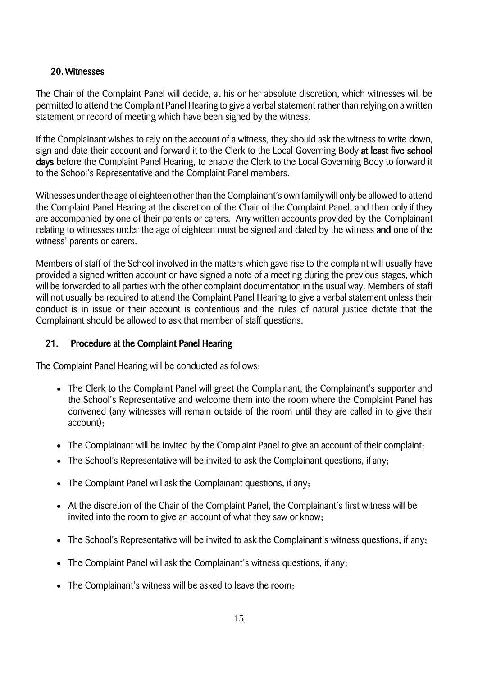## 20. Witnesses

The Chair of the Complaint Panel will decide, at his or her absolute discretion, which witnesses will be permitted to attend the Complaint Panel Hearing to give a verbal statement rather than relying on a written statement or record of meeting which have been signed by the witness.

If the Complainant wishes to rely on the account of a witness, they should ask the witness to write down, sign and date their account and forward it to the Clerk to the Local Governing Body at least five school days before the Complaint Panel Hearing, to enable the Clerk to the Local Governing Body to forward it to the School's Representative and the Complaint Panel members.

Witnesses under the age of eighteen other than the Complainant's own family will only be allowed to attend the Complaint Panel Hearing at the discretion of the Chair of the Complaint Panel, and then only if they are accompanied by one of their parents or carers. Any written accounts provided by the Complainant relating to witnesses under the age of eighteen must be signed and dated by the witness and one of the witness' parents or carers.

Members of staff of the School involved in the matters which gave rise to the complaint will usually have provided a signed written account or have signed a note of a meeting during the previous stages, which will be forwarded to all parties with the other complaint documentation in the usual way. Members of staff will not usually be required to attend the Complaint Panel Hearing to give a verbal statement unless their conduct is in issue or their account is contentious and the rules of natural justice dictate that the Complainant should be allowed to ask that member of staff questions.

## 21. Procedure at the Complaint Panel Hearing

The Complaint Panel Hearing will be conducted as follows:

- The Clerk to the Complaint Panel will greet the Complainant, the Complainant's supporter and the School's Representative and welcome them into the room where the Complaint Panel has convened (any witnesses will remain outside of the room until they are called in to give their account);
- The Complainant will be invited by the Complaint Panel to give an account of their complaint;
- The School's Representative will be invited to ask the Complainant questions, if any;
- The Complaint Panel will ask the Complainant questions, if any;
- At the discretion of the Chair of the Complaint Panel, the Complainant's first witness will be invited into the room to give an account of what they saw or know;
- The School's Representative will be invited to ask the Complainant's witness questions, if any;
- The Complaint Panel will ask the Complainant's witness questions, if any;
- The Complainant's witness will be asked to leave the room;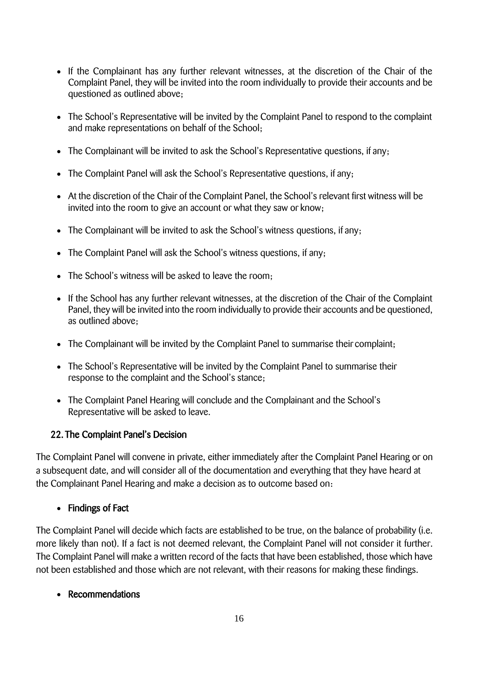- If the Complainant has any further relevant witnesses, at the discretion of the Chair of the Complaint Panel, they will be invited into the room individually to provide their accounts and be questioned as outlined above;
- The School's Representative will be invited by the Complaint Panel to respond to the complaint and make representations on behalf of the School;
- The Complainant will be invited to ask the School's Representative questions, if any;
- The Complaint Panel will ask the School's Representative questions, if any;
- At the discretion of the Chair of the Complaint Panel, the School's relevant first witness will be invited into the room to give an account or what they saw or know;
- The Complainant will be invited to ask the School's witness questions, if any;
- The Complaint Panel will ask the School's witness questions, if any;
- The School's witness will be asked to leave the room;
- If the School has any further relevant witnesses, at the discretion of the Chair of the Complaint Panel, they will be invited into the room individually to provide their accounts and be questioned, as outlined above;
- The Complainant will be invited by the Complaint Panel to summarise their complaint;
- The School's Representative will be invited by the Complaint Panel to summarise their response to the complaint and the School's stance;
- The Complaint Panel Hearing will conclude and the Complainant and the School's Representative will be asked to leave.

### 22. The Complaint Panel's Decision

The Complaint Panel will convene in private, either immediately after the Complaint Panel Hearing or on a subsequent date, and will consider all of the documentation and everything that they have heard at the Complainant Panel Hearing and make a decision as to outcome based on:

## • Findings of Fact

The Complaint Panel will decide which facts are established to be true, on the balance of probability (i.e. more likely than not). If a fact is not deemed relevant, the Complaint Panel will not consider it further. The Complaint Panel will make a written record of the facts that have been established, those which have not been established and those which are not relevant, with their reasons for making these findings.

### Recommendations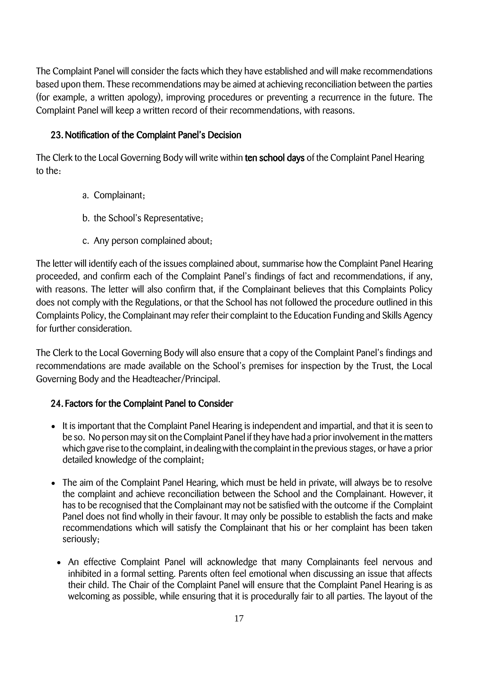The Complaint Panel will consider the facts which they have established and will make recommendations based upon them. These recommendations may be aimed at achieving reconciliation between the parties (for example, a written apology), improving procedures or preventing a recurrence in the future. The Complaint Panel will keep a written record of their recommendations, with reasons.

## 23.Notification of the Complaint Panel's Decision

The Clerk to the Local Governing Body will write within ten school days of the Complaint Panel Hearing to the:

- a. Complainant;
- b. the School's Representative;
- c. Any person complained about;

The letter will identify each of the issues complained about, summarise how the Complaint Panel Hearing proceeded, and confirm each of the Complaint Panel's findings of fact and recommendations, if any, with reasons. The letter will also confirm that, if the Complainant believes that this Complaints Policy does not comply with the Regulations, or that the School has not followed the procedure outlined in this Complaints Policy, the Complainant may refer their complaint to the Education Funding and Skills Agency for further consideration.

The Clerk to the Local Governing Body will also ensure that a copy of the Complaint Panel's findings and recommendations are made available on the School's premises for inspection by the Trust, the Local Governing Body and the Headteacher/Principal.

## 24. Factors for the Complaint Panel to Consider

- It is important that the Complaint Panel Hearing is independent and impartial, and that it is seen to be so. No person may sit on the Complaint Panel if they have had a prior involvement in the matters which gave rise to the complaint, in dealingwith the complaint in the previous stages, or have a prior detailed knowledge of the complaint;
- The aim of the Complaint Panel Hearing, which must be held in private, will always be to resolve the complaint and achieve reconciliation between the School and the Complainant. However, it has to be recognised that the Complainant may not be satisfied with the outcome if the Complaint Panel does not find wholly in their favour. It may only be possible to establish the facts and make recommendations which will satisfy the Complainant that his or her complaint has been taken seriously;
- An effective Complaint Panel will acknowledge that many Complainants feel nervous and inhibited in a formal setting. Parents often feel emotional when discussing an issue that affects their child. The Chair of the Complaint Panel will ensure that the Complaint Panel Hearing is as welcoming as possible, while ensuring that it is procedurally fair to all parties. The layout of the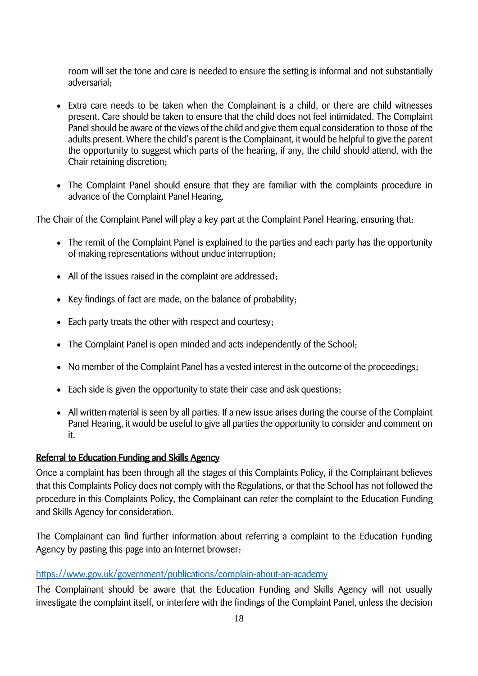room will set the tone and care is needed to ensure the setting is informal and not substantially adversarial;

- Extra care needs to be taken when the Complainant is a child, or there are child witnesses present. Care should be taken to ensure that the child does not feel intimidated. The Complaint Panel should be aware of the views of the child and give them equal consideration to those of the adults present. Where the child's parent is the Complainant, it would be helpful to give the parent the opportunity to suggest which parts of the hearing, if any, the child should attend, with the Chair retaining discretion;
- The Complaint Panel should ensure that they are familiar with the complaints procedure in advance of the Complaint Panel Hearing.

The Chair of the Complaint Panel will play a key part at the Complaint Panel Hearing, ensuring that:

- The remit of the Complaint Panel is explained to the parties and each party has the opportunity of making representations without undue interruption;
- All of the issues raised in the complaint are addressed;
- Key findings of fact are made, on the balance of probability;
- Each party treats the other with respect and courtesy;
- The Complaint Panel is open minded and acts independently of the School;
- No member of the Complaint Panel has a vested interest in the outcome of the proceedings;
- Each side is given the opportunity to state their case and ask questions;
- All written material is seen by all parties. If a new issue arises during the course of the Complaint Panel Hearing, it would be useful to give all parties the opportunity to consider and comment on it.

### Referral to Education Funding and Skills Agency

Once a complaint has been through all the stages of this Complaints Policy, if the Complainant believes that this Complaints Policy does not comply with the Regulations, or that the School has not followed the procedure in this Complaints Policy, the Complainant can refer the complaint to the Education Funding and Skills Agency for consideration.

The Complainant can find further information about referring a complaint to the Education Funding Agency by pasting this page into an Internet browser:

### <https://www.gov.uk/government/publications/complain-about-an-academy>

The Complainant should be aware that the Education Funding and Skills Agency will not usually investigate the complaint itself, or interfere with the findings of the Complaint Panel, unless the decision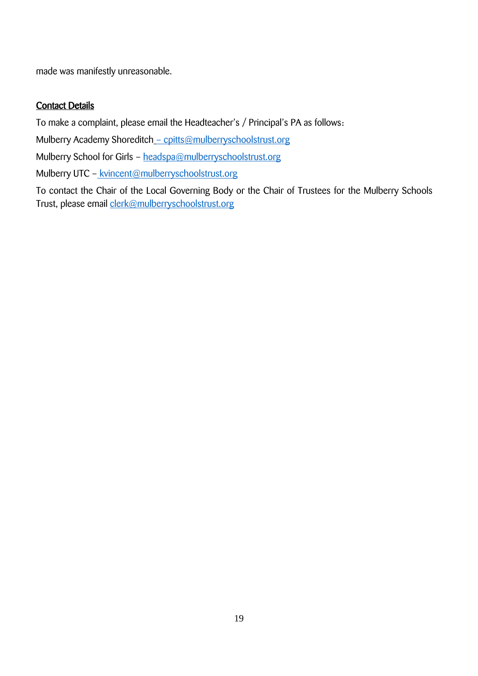made was manifestly unreasonable.

## Contact Details

To make a complaint, please email the Headteacher's / Principal's PA as follows:

Mulberry Academy Shoreditch - cpitts@mulberryschoolstrust.org

Mulberry School for Girls - [headspa@mulberryschoolstrust.org](mailto:headspa@mulberryschoolstrust.org)

Mulberry UTC – [kvincent@mulberryschoolstrust.org](mailto:kvincent@mulberryschoolstrust.org)

To contact the Chair of the Local Governing Body or the Chair of Trustees for the Mulberry Schools Trust, please email [clerk@mulberryschoolstrust.org](mailto:clerk@mulberryschoolstrust.org)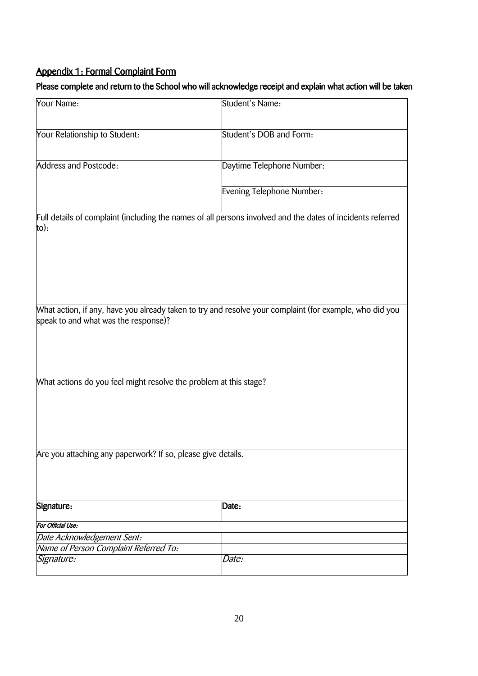# Appendix 1: Formal Complaint Form

## Please complete and return to the School who will acknowledge receipt and explain what action will be taken

| Your Name:                                                        | Student's Name:                                                                                            |  |
|-------------------------------------------------------------------|------------------------------------------------------------------------------------------------------------|--|
| Your Relationship to Student:                                     | Student's DOB and Form:                                                                                    |  |
| <b>Address and Postcode:</b>                                      | Daytime Telephone Number:                                                                                  |  |
|                                                                   | Evening Telephone Number:                                                                                  |  |
| $to)$ :                                                           | Full details of complaint (including the names of all persons involved and the dates of incidents referred |  |
| speak to and what was the response)?                              | What action, if any, have you already taken to try and resolve your complaint (for example, who did you    |  |
| What actions do you feel might resolve the problem at this stage? |                                                                                                            |  |
| Are you attaching any paperwork? If so, please give details.      |                                                                                                            |  |
| Signature:                                                        | Date:                                                                                                      |  |
| For Official Use:                                                 |                                                                                                            |  |
| Date Acknowledgement Sent:                                        |                                                                                                            |  |
| Name of Person Complaint Referred To:                             |                                                                                                            |  |
| Signature:                                                        | Date:                                                                                                      |  |